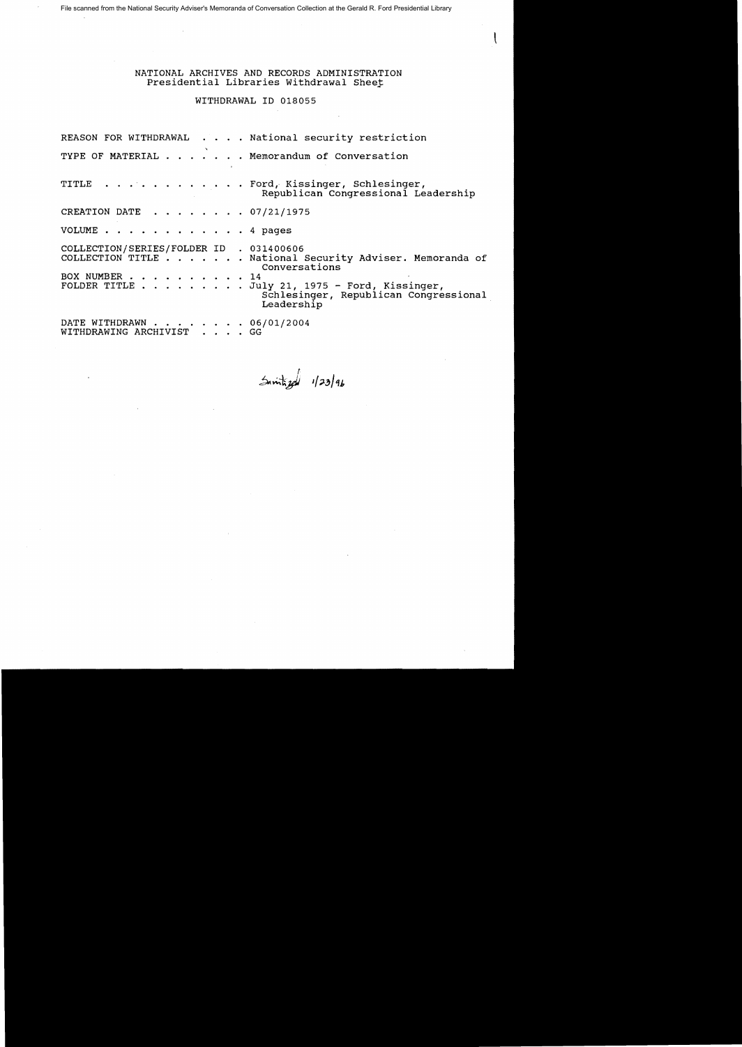File scanned from the National Security Adviser's Memoranda of Conversation Collection at the Gerald R. Ford Presidential Library

NATIONAL ARCHIVES AND RECORDS ADMINISTRATION Presidential Libraries Withdrawal Sheet

WITHDRAWAL 10 018055

REASON FOR WITHDRAWAL . . . . National security restriction TYPE OF MATERIAL . . . . . . Memorandum of Conversation TITLE . . . . . . . . . . . . Ford, Kissinger, Schlesinger, Republican Congressional Leadership CREATION DATE . . . . . . . 07/21/1975 VOLUME . . . . . . . . . . . . 4 pages COLLECTION/SERIES/FOLDER 10 . 031400606 . . . . National Security Adviser. Memoranda of Conversations BOX NUMBER . . . . . . . . . . 14<br>FOLDER TITLE . . . . . . . . Ju July 21, 1975 - Ford, Kissinger, Schlesinger, Republican Congressional Leadership DATE WITHDRAWN . . . . . . . 06/01/2004 WITHDRAWING ARCHIVIST . . . . GG

 $5$   $m\overline{1}$   $29$   $n\overline{1}$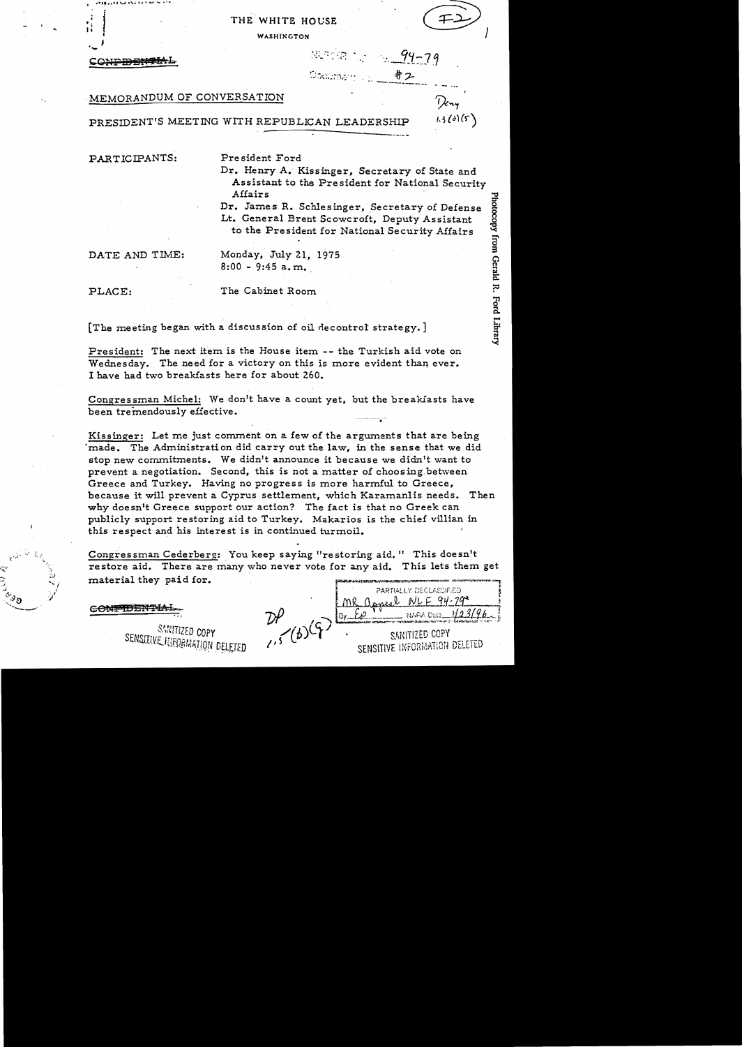# THE WHITE HOUSE

**WASHINGTON** 

# $.94 - 79$ 井2 Documen

# MEMORANDUM OF CONVERSATION

PRESIDENT'S MEETING WITH REPUBLICAN LEADERSHIP

PARTICIPANTS:

President Ford

Dr. Henry A. Kissinger, Secretary of State and Assistant to the President for National Security Affairs

Dr. James R. Schlesinger, Secretary of Defense Lt. General Brent Scowcroft, Deputy Assistant to the President for National Security Affairs

DATE AND TIME:

Monday, July 21. 1975  $8:00 - 9:45$  a.m.

PLACE:

The Cabinet Room

[The meeting began with a discussion of oil decontrol strategy.]

President: The next item is the House item -- the Turkish aid vote on Wednesday. The need for a victory on this is more evident than ever. I have had two breakfasts here for about 260.

Congressman Michel: We don't have a count yet, but the breakfasts have been tremendously effective.

Kissinger: Let me just comment on a few of the arguments that are being made. The Administration did carry out the law, in the sense that we did stop new commitments. We didn't announce it because we didn't want to prevent a negotiation. Second, this is not a matter of choosing between Greece and Turkey. Having no progress is more harmful to Greece, because it will prevent a Cyprus settlement, which Karamanlis needs. Then why doesn't Greece support our action? The fact is that no Greek can publicly support restoring aid to Turkey. Makarios is the chief villian in this respect and his interest is in continued turmoil.

Congressman Cederberg: You keep saying "restoring aid. " This doesn't restore aid. There are many who never vote for any aid. This lets them get material they paid for.

CONFIDENTIAL

SANITIZED COPY SENSITIVE INFORMATION DELETED

PARTIALLY DECLASSIFIED MR appeal  $1.5(6)$ SANITIZED COPY SENSITIVE INFORMATION DELETED

 $1.3$  (a) (5)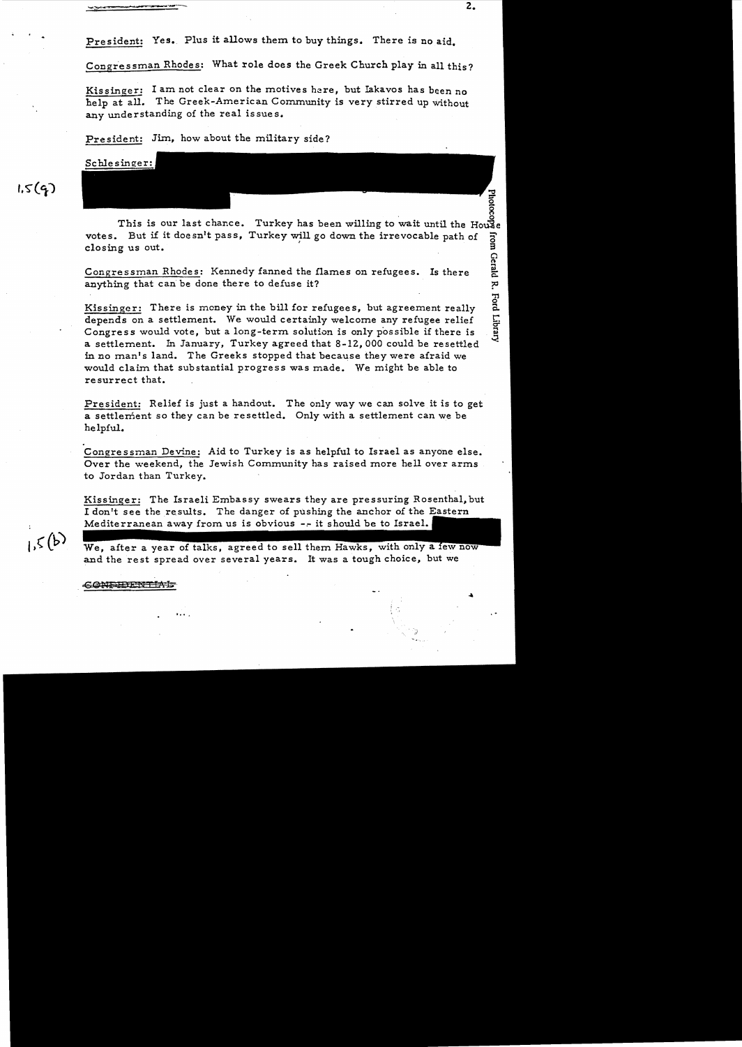Congressman Rhodes: What role does the Greek Church play in all this?

Kissinger: I am not clear on the motives here, but Iakavos has been no help at all. The Greek-American Community is very stirred up without any understanding of the real issues.

President: Jim, how about the military side?

Schlesinger:

get a control of the set of the House of this is our last chance. Turkey has been willing to wait until the House votes. But if it doesn't pass, Turkey will go down the irrevocable path of closing us out. o n

Congressman Rhodes: Kennedy fanned the flames on refugees. Is there anything that can be done there to defuse it?

Kissinger: There is money in the bill for refugees, but agreement really depends on a settlement. We would certainly welcome any refugee relief Congress would vote, but a long-term. soiution is only possible if there is a settlement. In January, Turkey agreed that 8-12,000 could be resettled in no man's land. The Greeks stopped that because they were afraid we would claim that substantial progress was made. We might be able to resurrect that.

President: Relief is just a handout. The only way we can solve it is to get a settlement so they can be resettled. Only with a settlement can we be helpful.

. Congressman Devine: Aid to Turkey is as helpful to Israel as anyone else. Over the weekend, the Jewish Community has raised more hell over arms to Jordan than Turkey.

Kissinger: The Israeli Embassy swears they are pressuring Rosenthal, but I don't see the results. The danger of pushing the anchor of the Eastern Mediterranean away from us is obvious  $-$ -it should be to Israel.

 $15(b)$ 

 $1.5(4)$ 

We, after a year of talks, agreed to sell them Hawks, with only a few now and the rest spread over several years. It was a tough choice, but we

 $\mathbf{r}$  ,  $\mathbf{r}$  ,  $\mathbf{r}$  ,  $\mathbf{r}$  ,  $\mathbf{r}$  ,  $\mathbf{r}$  ,  $\mathbf{r}$  ,  $\mathbf{r}$  ,  $\mathbf{r}$  ,  $\mathbf{r}$  ,  $\mathbf{r}$  ,  $\mathbf{r}$  ,  $\mathbf{r}$  ,  $\mathbf{r}$  ,  $\mathbf{r}$  ,  $\mathbf{r}$  ,  $\mathbf{r}$  ,  $\mathbf{r}$  ,  $\mathbf{r}$  ,  $\mathbf{r}$  ,

CONFIDENTIAL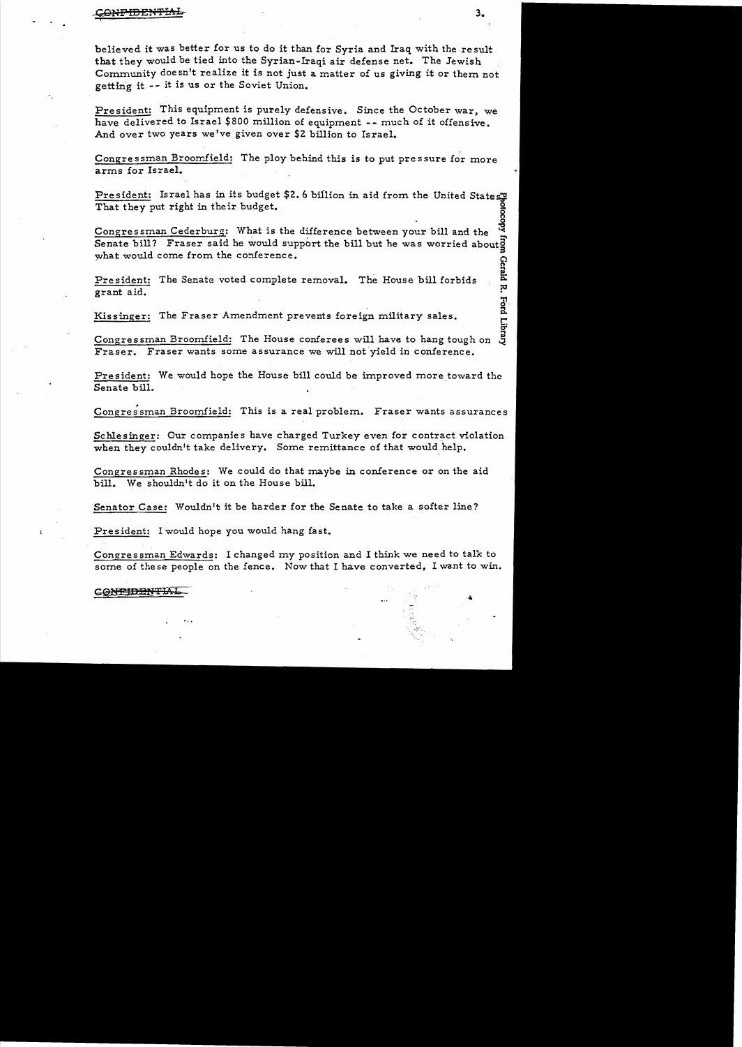#### ~iFIDENIfIAL 3.  $\mathbf{r}$

believed it was better for us to do it than for Syria and Iraq with the result that they would be tied into the Syrian-Iraqi air defense net. The Jewish . Community doesn't realize it is not just a matter of us giving it or them not getting it -- it is us or the Soviet Union.

President: This equipment is purely defensive. Since the October war, we have delivered to Israel \$800 million of equipment -- much of it offensive. And over two years we've given over \$2 billion to Israel.

Congressman Broomfield: The ploy behind this is to put pressure for more arms for Israel.

President: Israel has in its budget \$2.6 billion in aid from the United States That they put right in their budget.

Congressman Cederburg: What is the difference between your bill and the Senate bill? Fraser said he would support the bill but he was worried about  $\overline{S}$ what would come from the conference.

President: The Senate voted complete removal. The House bill forbids complete grant aid.<br>grant aid.

Kissinger: The Fraser Amendment prevents foreign military sales. The contract of the contract of the contract o<br>C:

Congressman Broomfield: The House conferees will have to hang tough on  $\ddot{\theta}$ Fraser. Fraser wants some assurance we will not yield in conference.

President: We would hope the House bill could be improved more toward the Senate bill.

Congressman Broomfield: This is a real problem. Fraser wants assurances

Schlesinger: Our companies have charged Turkey even for contract violation when they couldn't take delivery. Some remittance of that would help.

Congressman Rhodes: We could do that maybe in conference or on the aid bill. We shouldn't do it on the House bill.

Senator Case: Wouldn't it be harder for the Senate to take a softer line?

President: I would hope you would hang fast.

.,.

Congressman Edwards: I changed my position and I think we need to talk to some of these people on the fence. Now that I have converted, I want to win.

### CONFIDENTIAL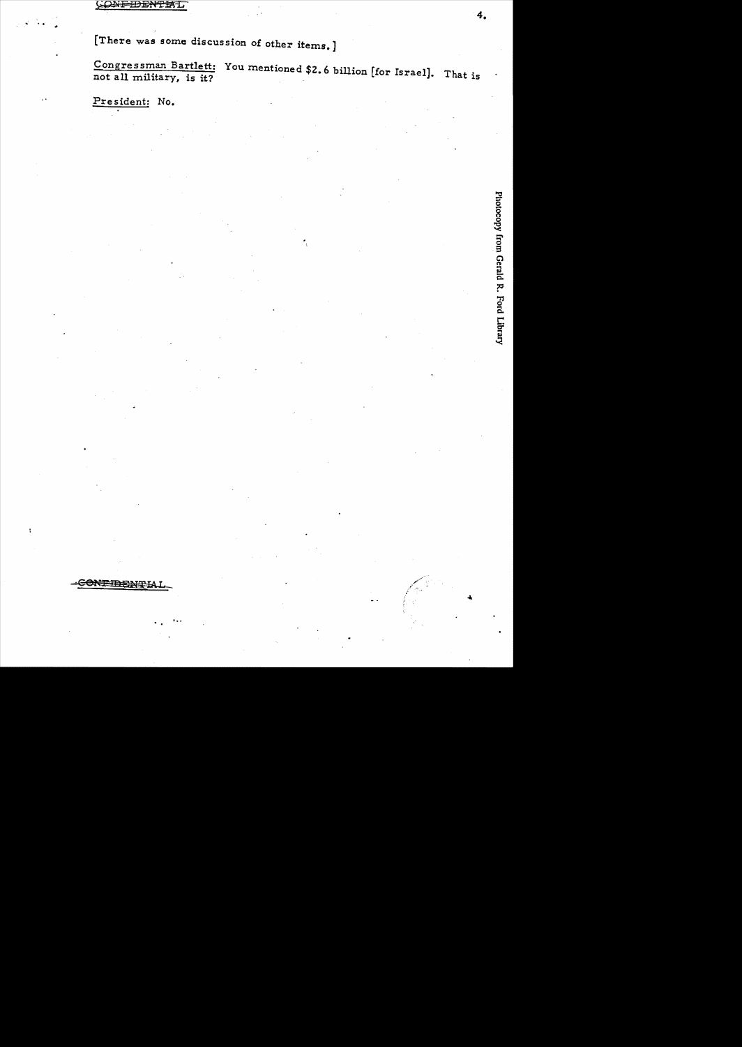[There was some discussion of other items.]

Congressman Bartlett: You mentioned \$2.6 billion [for Israel]. That is not all military, is it?

President: No.

4.

<del>CONPIDENT</del> IA